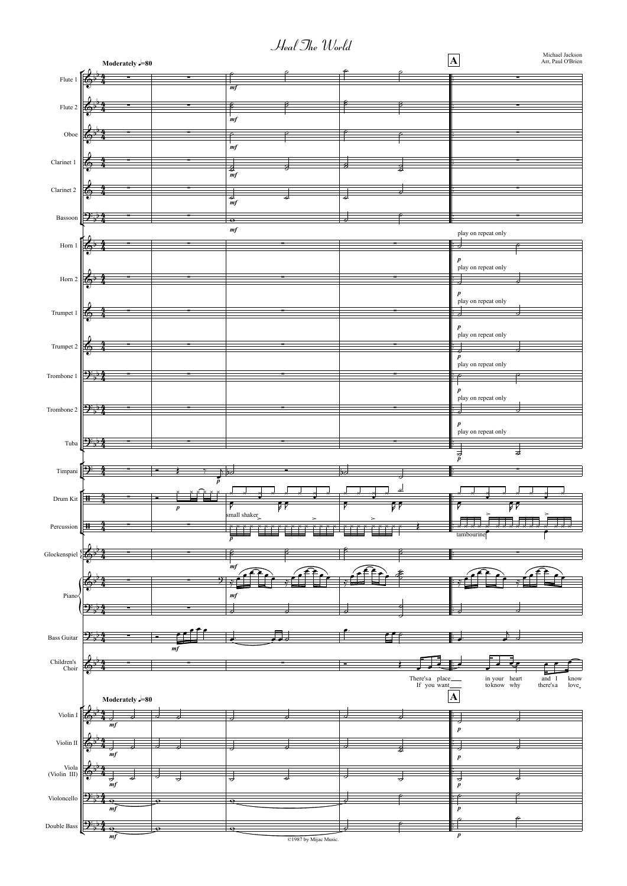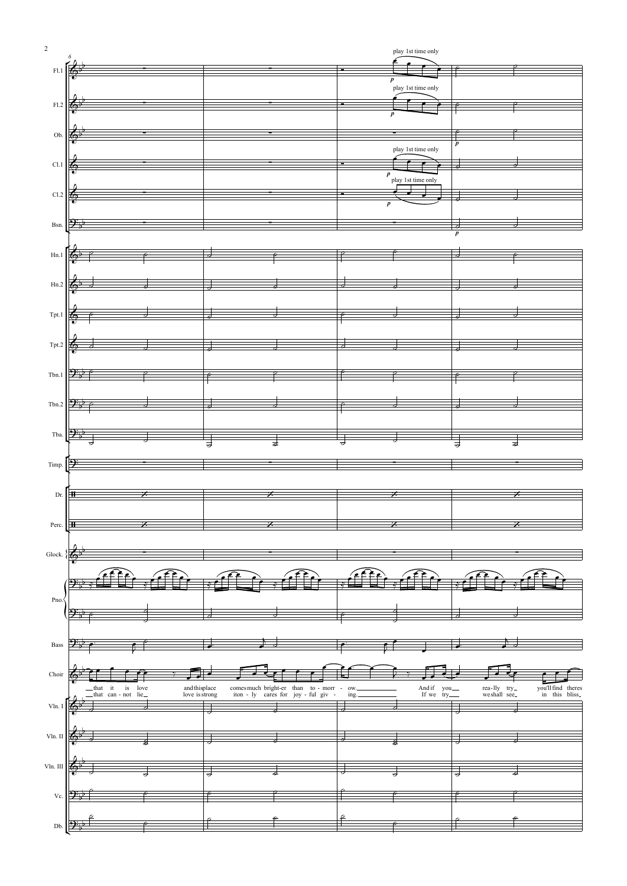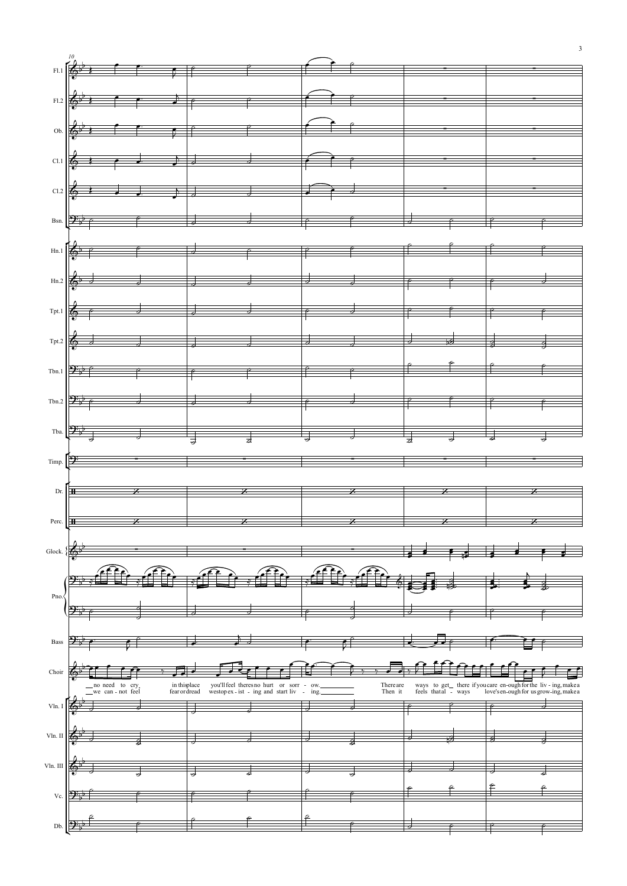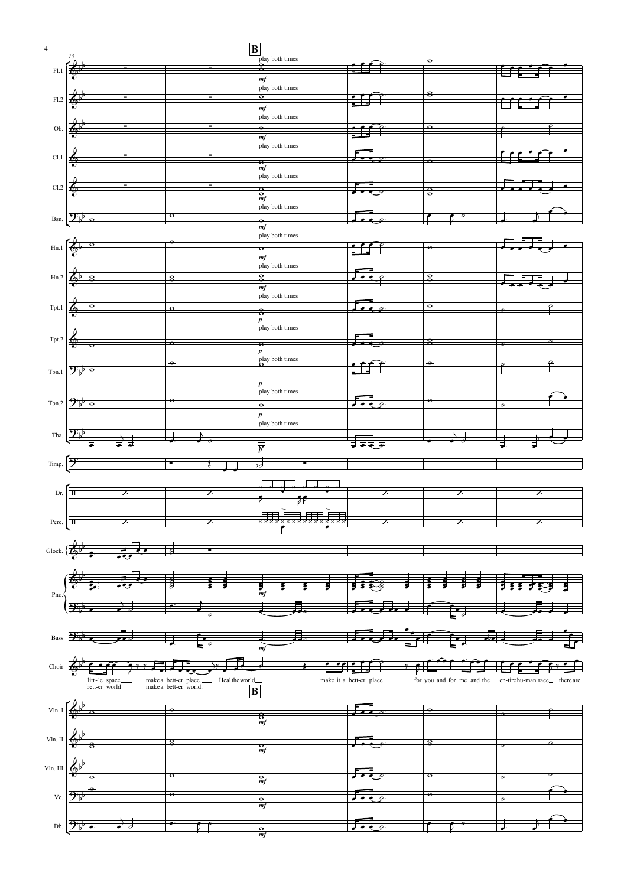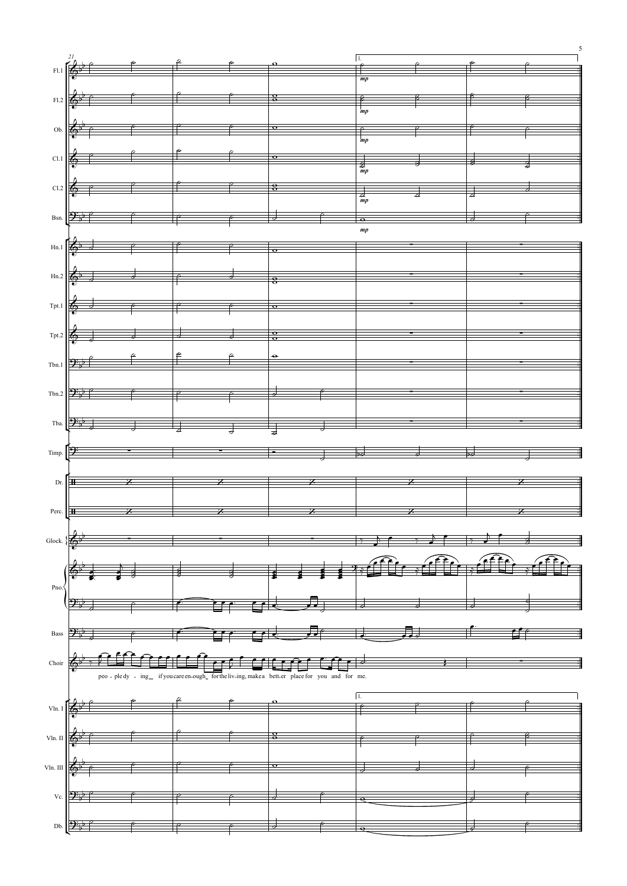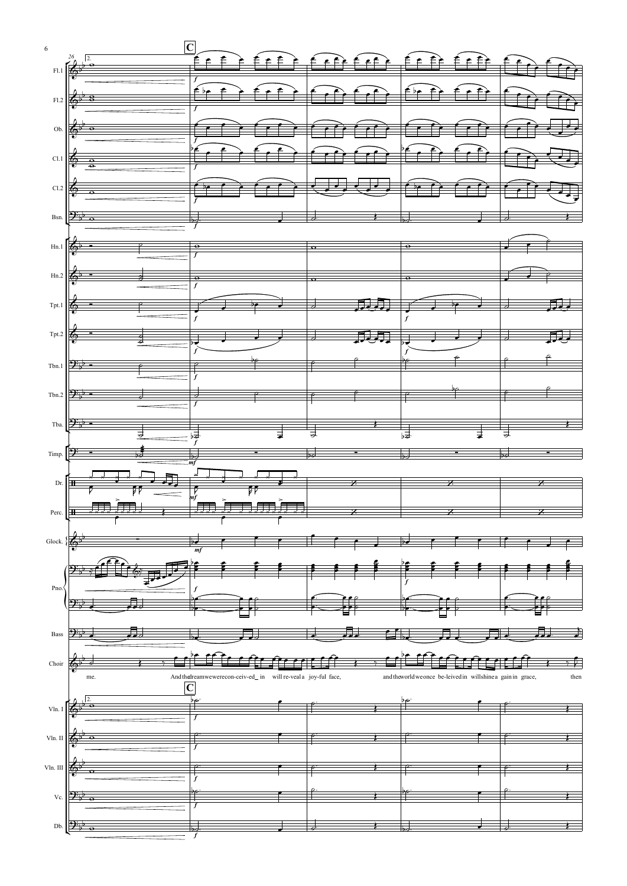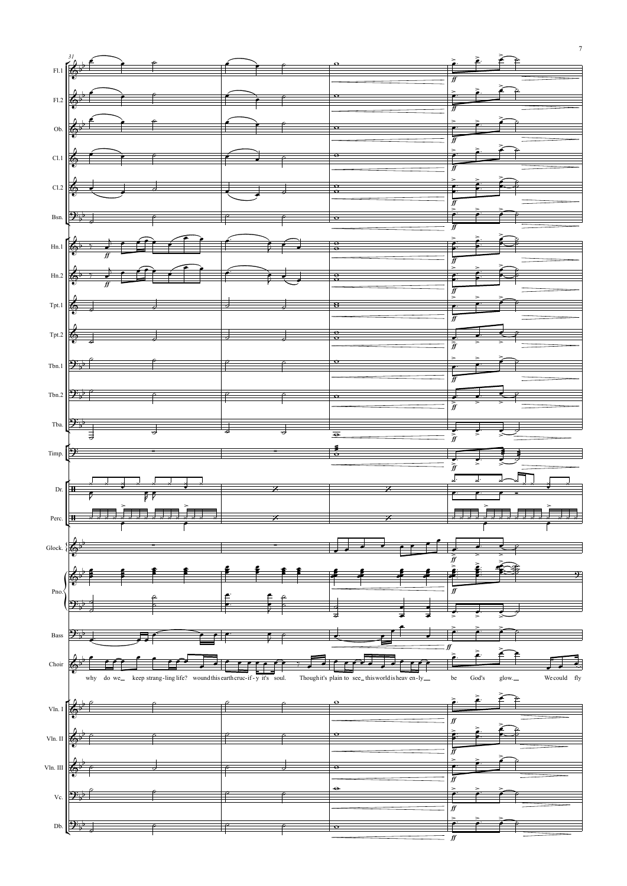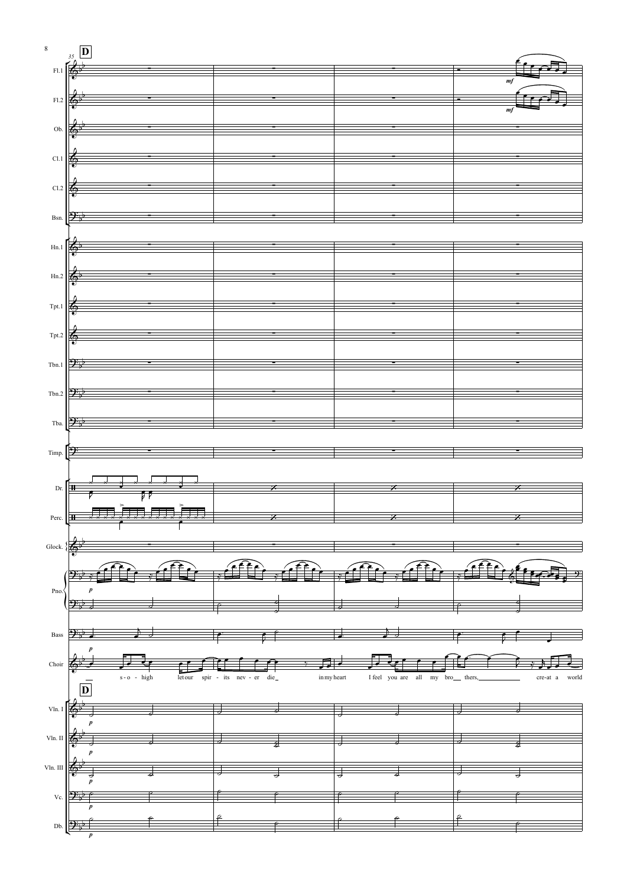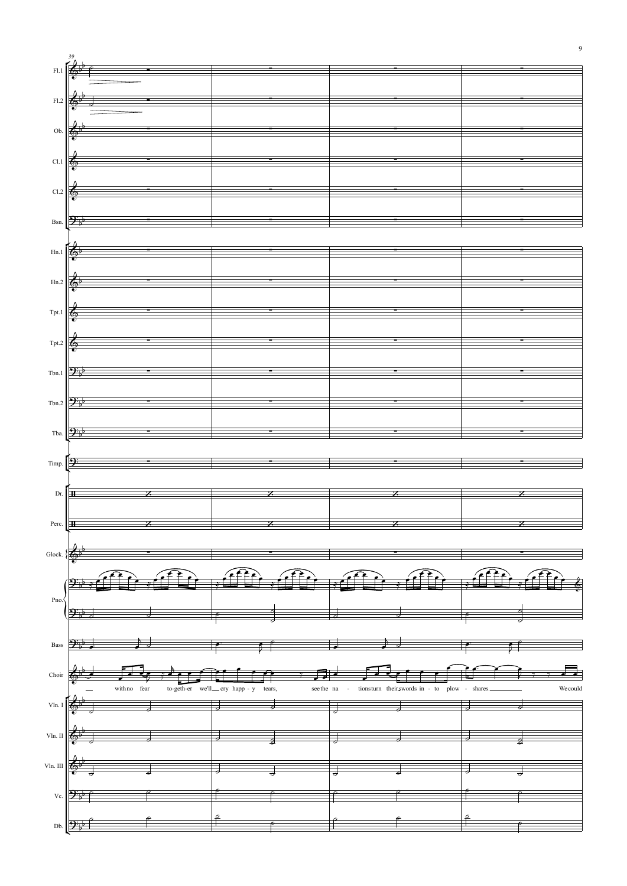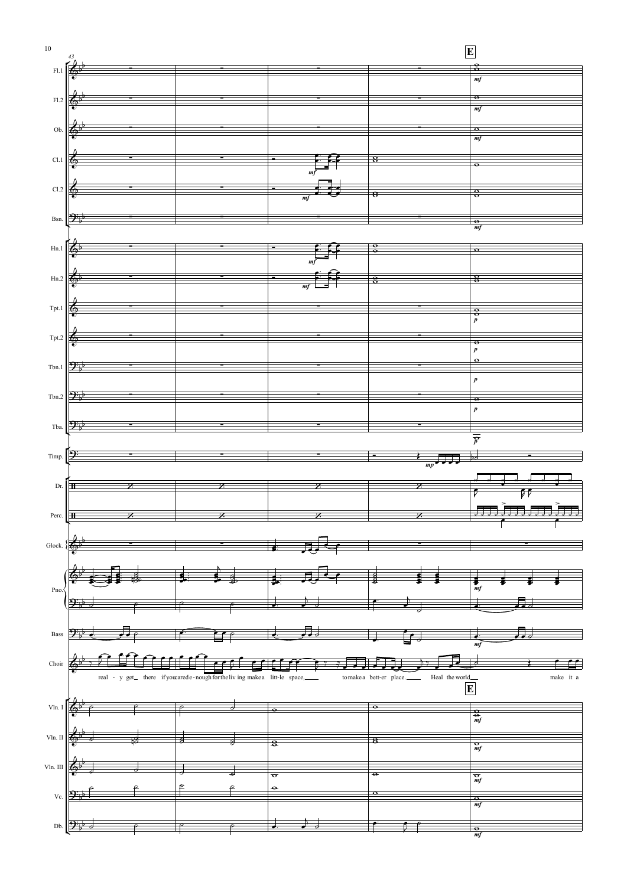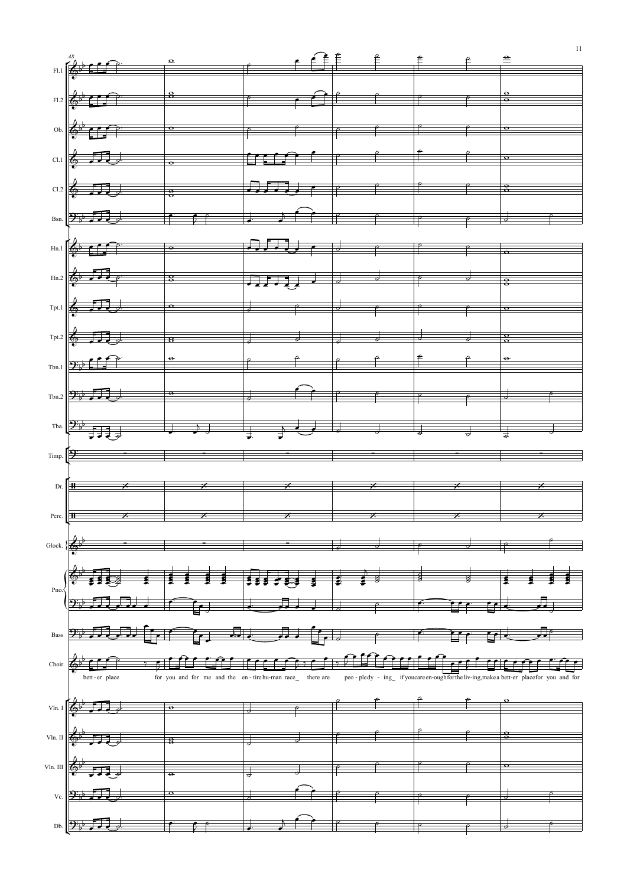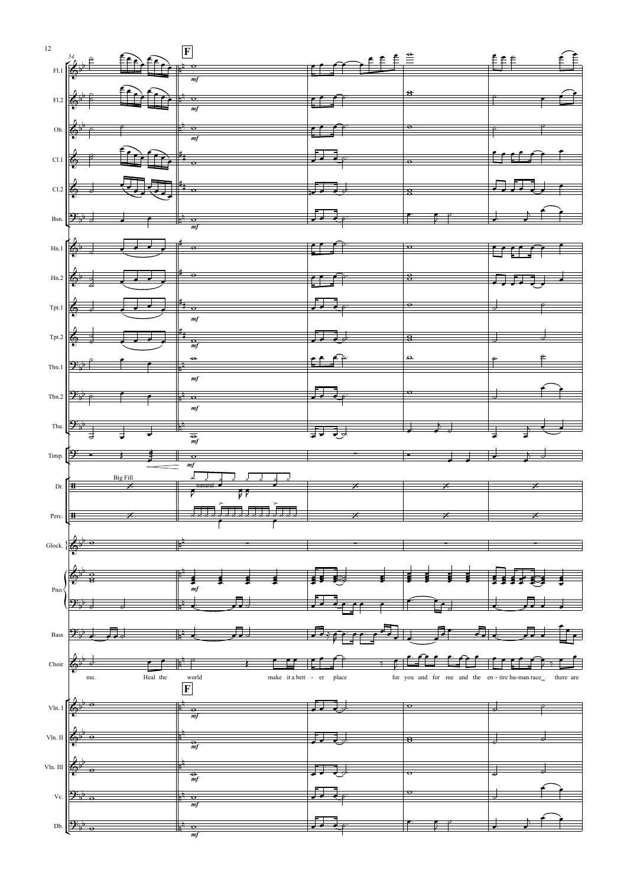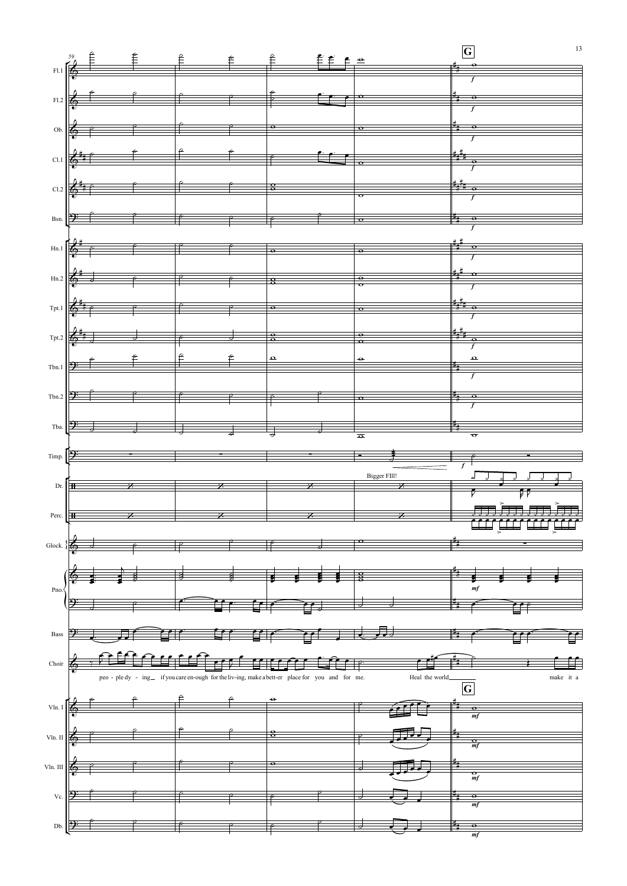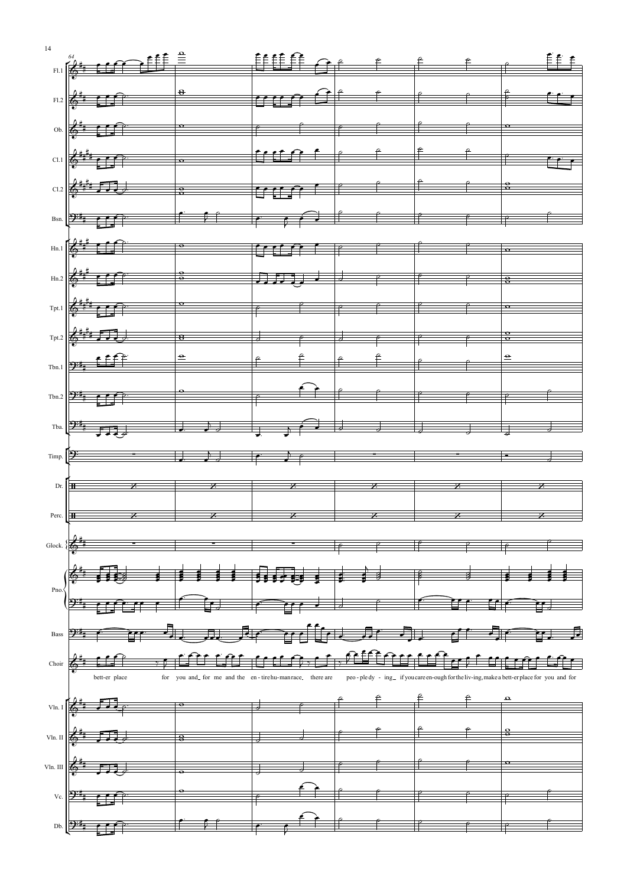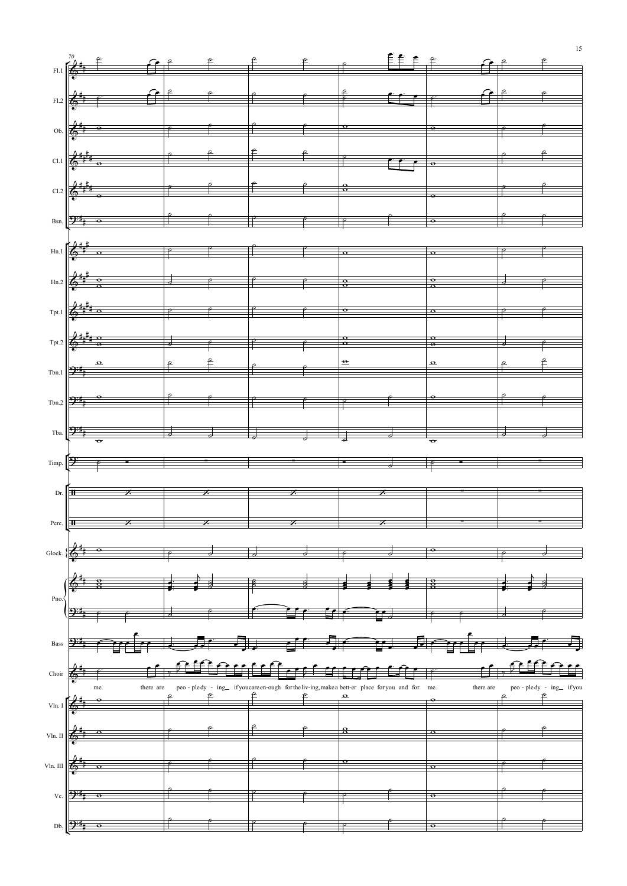

15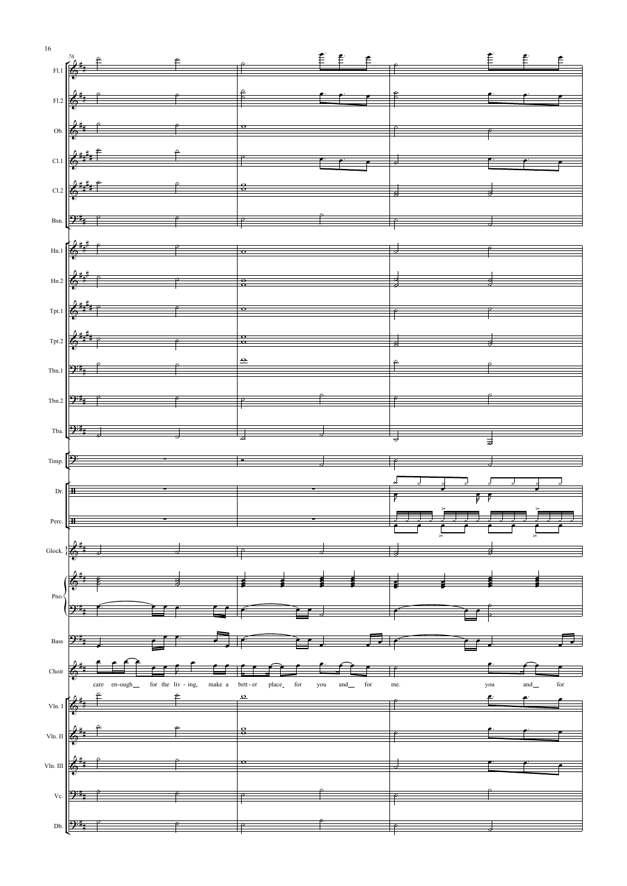